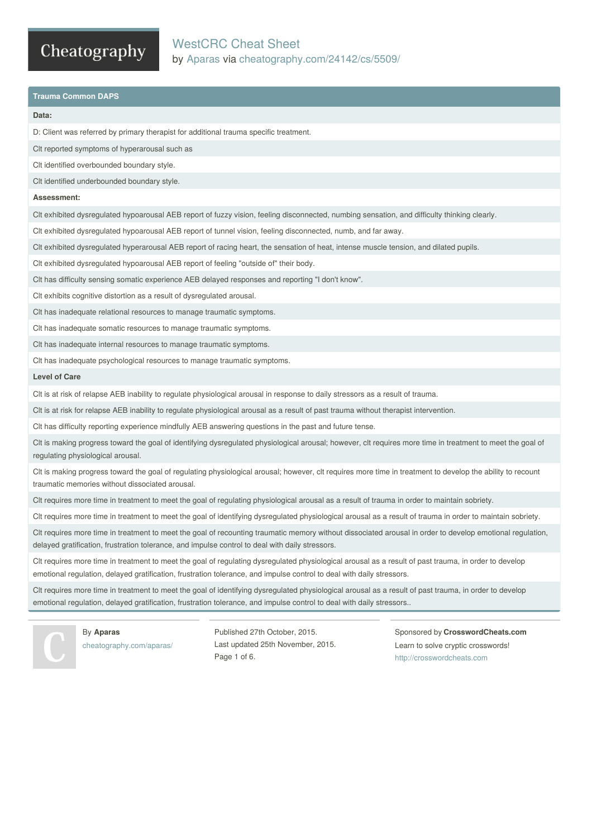## WestCRC Cheat Sheet by [Aparas](http://www.cheatography.com/aparas/) via [cheatography.com/24142/cs/5509/](http://www.cheatography.com/aparas/cheat-sheets/westcrc)

### **Trauma Common DAPS**

#### **Data:**

D: Client was referred by primary therapist for additional trauma specific treatment.

Clt reported symptoms of hyperarousal such as

Clt identified overbounded boundary style.

Clt identified underbounded boundary style.

#### **Assessment:**

Clt exhibited dysregulated hypoarousal AEB report of fuzzy vision, feeling disconnected, numbing sensation, and difficulty thinking clearly.

Clt exhibited dysregulated hypoarousal AEB report of tunnel vision, feeling disconnected, numb, and far away.

Clt exhibited dysregulated hyperarousal AEB report of racing heart, the sensation of heat, intense muscle tension, and dilated pupils.

Clt exhibited dysregulated hypoarousal AEB report of feeling "outside of" their body.

Clt has difficulty sensing somatic experience AEB delayed responses and reporting "I don't know".

Clt exhibits cognitive distortion as a result of dysregulated arousal.

Clt has inadequate relational resources to manage traumatic symptoms.

Clt has inadequate somatic resources to manage traumatic symptoms.

Clt has inadequate internal resources to manage traumatic symptoms.

Clt has inadequate psychological resources to manage traumatic symptoms.

#### **Level of Care**

Clt is at risk of relapse AEB inability to regulate physiological arousal in response to daily stressors as a result of trauma.

Clt is at risk for relapse AEB inability to regulate physiological arousal as a result of past trauma without therapist intervention.

Clt has difficulty reporting experience mindfully AEB answering questions in the past and future tense.

Clt is making progress toward the goal of identifying dysregulated physiological arousal; however, clt requires more time in treatment to meet the goal of regulating physiological arousal.

Clt is making progress toward the goal of regulating physiological arousal; however, clt requires more time in treatment to develop the ability to recount traumatic memories without dissociated arousal.

Clt requires more time in treatment to meet the goal of regulating physiological arousal as a result of trauma in order to maintain sobriety.

Clt requires more time in treatment to meet the goal of identifying dysregulated physiological arousal as a result of trauma in order to maintain sobriety.

Clt requires more time in treatment to meet the goal of recounting traumatic memory without dissociated arousal in order to develop emotional regulation, delayed gratification, frustration tolerance, and impulse control to deal with daily stressors.

Clt requires more time in treatment to meet the goal of regulating dysregulated physiological arousal as a result of past trauma, in order to develop emotional regulation, delayed gratification, frustration tolerance, and impulse control to deal with daily stressors.

Clt requires more time in treatment to meet the goal of identifying dysregulated physiological arousal as a result of past trauma, in order to develop emotional regulation, delayed gratification, frustration tolerance, and impulse control to deal with daily stressors..



## By **Aparas**

[cheatography.com/aparas/](http://www.cheatography.com/aparas/)

Published 27th October, 2015. Last updated 25th November, 2015. Page 1 of 6.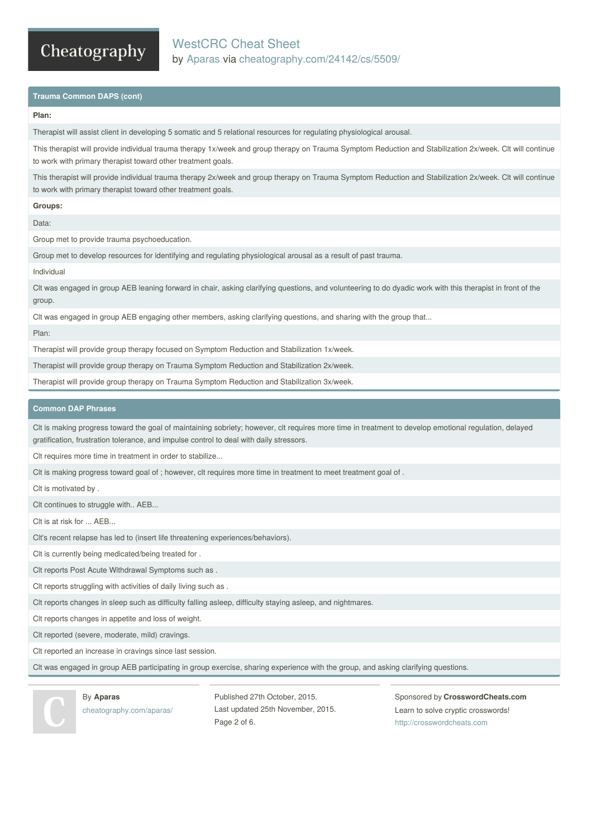## WestCRC Cheat Sheet by [Aparas](http://www.cheatography.com/aparas/) via [cheatography.com/24142/cs/5509/](http://www.cheatography.com/aparas/cheat-sheets/westcrc)

### **Trauma Common DAPS (cont)**

#### **Plan:**

Therapist will assist client in developing 5 somatic and 5 relational resources for regulating physiological arousal.

This therapist will provide individual trauma therapy 1x/week and group therapy on Trauma Symptom Reduction and Stabilization 2x/week. Clt will continue to work with primary therapist toward other treatment goals.

This therapist will provide individual trauma therapy 2x/week and group therapy on Trauma Symptom Reduction and Stabilization 2x/week. Clt will continue to work with primary therapist toward other treatment goals.

**Groups:**

Data:

Group met to provide trauma psychoeducation.

Group met to develop resources for identifying and regulating physiological arousal as a result of past trauma.

Individual

Clt was engaged in group AEB leaning forward in chair, asking clarifying questions, and volunteering to do dyadic work with this therapist in front of the group.

Clt was engaged in group AEB engaging other members, asking clarifying questions, and sharing with the group that...

Plan:

Therapist will provide group therapy focused on Symptom Reduction and Stabilization 1x/week.

Therapist will provide group therapy on Trauma Symptom Reduction and Stabilization 2x/week.

Therapist will provide group therapy on Trauma Symptom Reduction and Stabilization 3x/week.

### **Common DAP Phrases**

Clt is making progress toward the goal of maintaining sobriety; however, clt requires more time in treatment to develop emotional regulation, delayed gratification, frustration tolerance, and impulse control to deal with daily stressors.

Clt requires more time in treatment in order to stabilize...

Clt is making progress toward goal of ; however, clt requires more time in treatment to meet treatment goal of .

Clt is motivated by .

Clt continues to struggle with.. AEB...

Clt is at risk for ... AEB...

Clt's recent relapse has led to (insert life threatening experiences/behaviors).

Clt is currently being medicated/being treated for .

Clt reports Post Acute Withdrawal Symptoms such as .

Clt reports struggling with activities of daily living such as .

Clt reports changes in sleep such as difficulty falling asleep, difficulty staying asleep, and nightmares.

Clt reports changes in appetite and loss of weight.

Clt reported (severe, moderate, mild) cravings.

Clt reported an increase in cravings since last session.

Clt was engaged in group AEB participating in group exercise, sharing experience with the group, and asking clarifying questions.



By **Aparas** [cheatography.com/aparas/](http://www.cheatography.com/aparas/)

Published 27th October, 2015. Last updated 25th November, 2015. Page 2 of 6.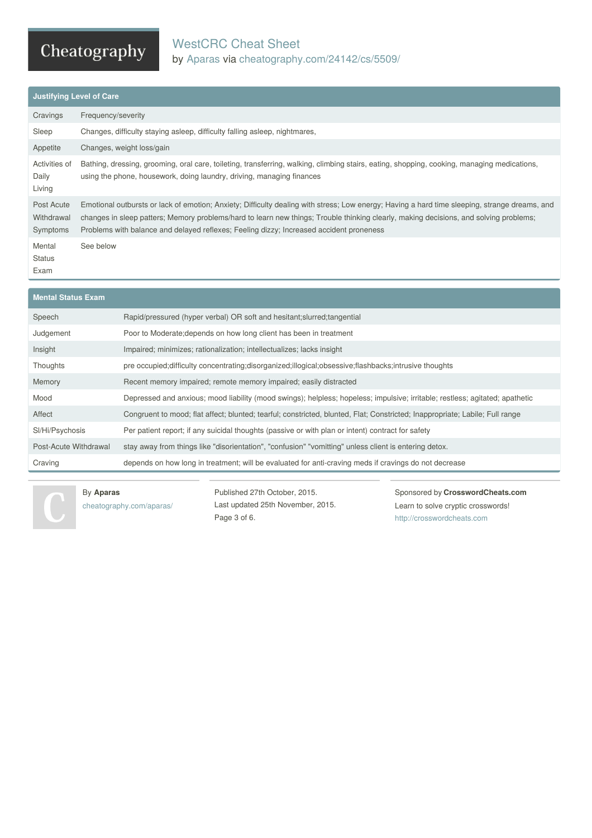## WestCRC Cheat Sheet by [Aparas](http://www.cheatography.com/aparas/) via [cheatography.com/24142/cs/5509/](http://www.cheatography.com/aparas/cheat-sheets/westcrc)

| <b>Justifying Level of Care</b>      |                                                                                                                                                                                                                                                                                                                                                                                   |  |
|--------------------------------------|-----------------------------------------------------------------------------------------------------------------------------------------------------------------------------------------------------------------------------------------------------------------------------------------------------------------------------------------------------------------------------------|--|
| Cravings                             | Frequency/severity                                                                                                                                                                                                                                                                                                                                                                |  |
| Sleep                                | Changes, difficulty staying asleep, difficulty falling asleep, nightmares,                                                                                                                                                                                                                                                                                                        |  |
| Appetite                             | Changes, weight loss/gain                                                                                                                                                                                                                                                                                                                                                         |  |
| Activities of<br>Daily<br>Living     | Bathing, dressing, grooming, oral care, toileting, transferring, walking, climbing stairs, eating, shopping, cooking, managing medications,<br>using the phone, housework, doing laundry, driving, managing finances                                                                                                                                                              |  |
| Post Acute<br>Withdrawal<br>Symptoms | Emotional outbursts or lack of emotion; Anxiety; Difficulty dealing with stress; Low energy; Having a hard time sleeping, strange dreams, and<br>changes in sleep patters; Memory problems/hard to learn new things; Trouble thinking clearly, making decisions, and solving problems;<br>Problems with balance and delayed reflexes; Feeling dizzy; Increased accident proneness |  |
| Mental<br><b>Status</b><br>Exam      | See below                                                                                                                                                                                                                                                                                                                                                                         |  |

# **Mental Status Exam** Speech Rapid/pressured (hyper verbal) OR soft and hesitant;slurred;tangential Judgement Poor to Moderate;depends on how long client has been in treatment Insight Impaired; minimizes; rationalization; intellectualizes; lacks insight Thoughts pre occupied;difficulty concentrating;disorganized;illogical;obsessive;flashbacks;intrusive thoughts Memory Recent memory impaired; remote memory impaired; easily distracted Mood Depressed and anxious; mood liability (mood swings); helpless; hopeless; impulsive; irritable; restless; agitated; apathetic Affect Congruent to mood; flat affect; blunted; tearful; constricted, blunted, Flat; Constricted; Inappropriate; Labile; Full range Sl/Hi/Psychosis Per patient report; if any suicidal thoughts (passive or with plan or intent) contract for safety Post-Acute Withdrawal stay away from things like "disorientation", "confusion" "vomitting" unless client is entering detox. Craving depends on how long in treatment; will be evaluated for anti-craving meds if cravings do not decrease

### By **Aparas**

[cheatography.com/aparas/](http://www.cheatography.com/aparas/)

Published 27th October, 2015. Last updated 25th November, 2015. Page 3 of 6.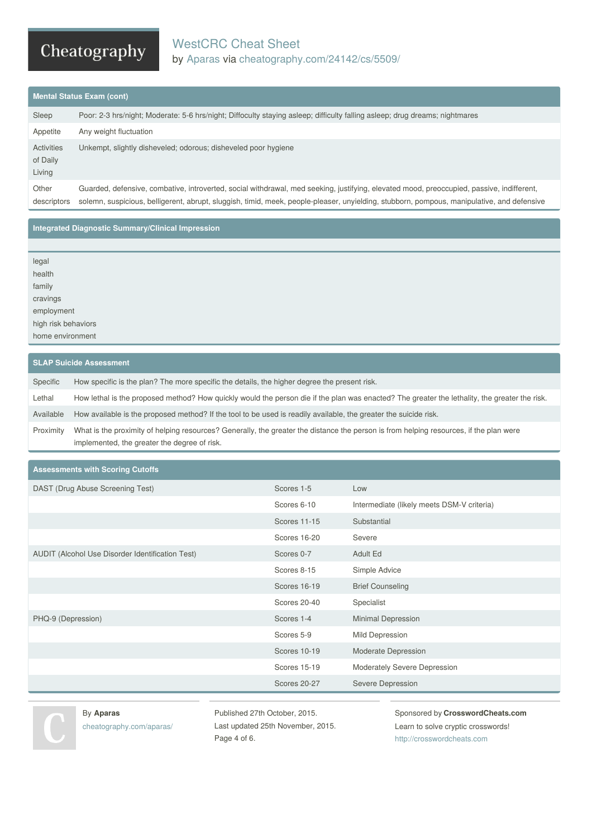## WestCRC Cheat Sheet by [Aparas](http://www.cheatography.com/aparas/) via [cheatography.com/24142/cs/5509/](http://www.cheatography.com/aparas/cheat-sheets/westcrc)

### **Mental Status Exam (cont)**

| Sleep                            | Poor: 2-3 hrs/night; Moderate: 5-6 hrs/night; Diffoculty staying asleep; difficulty falling asleep; drug dreams; nightmares                                                                                                                                                             |
|----------------------------------|-----------------------------------------------------------------------------------------------------------------------------------------------------------------------------------------------------------------------------------------------------------------------------------------|
| Appetite                         | Any weight fluctuation                                                                                                                                                                                                                                                                  |
| Activities<br>of Daily<br>Living | Unkempt, slightly disheveled; odorous; disheveled poor hygiene                                                                                                                                                                                                                          |
| Other<br>descriptors             | Guarded, defensive, combative, introverted, social withdrawal, med seeking, justifying, elevated mood, preoccupied, passive, indifferent,<br>solemn, suspicious, belligerent, abrupt, sluggish, timid, meek, people-pleaser, unyielding, stubborn, pompous, manipulative, and defensive |

### **Integrated Diagnostic Summary/Clinical Impression**

| legal<br>health     |  |
|---------------------|--|
| family              |  |
| cravings            |  |
| employment          |  |
| high risk behaviors |  |
| home environment    |  |

### **SLAP Suicide Assessment**

| Specific  | How specific is the plan? The more specific the details, the higher degree the present risk.                                                                                           |
|-----------|----------------------------------------------------------------------------------------------------------------------------------------------------------------------------------------|
| Lethal    | How lethal is the proposed method? How quickly would the person die if the plan was enacted? The greater the lethality, the greater the risk.                                          |
| Available | How available is the proposed method? If the tool to be used is readily available, the greater the suicide risk.                                                                       |
| Proximity | What is the proximity of helping resources? Generally, the greater the distance the person is from helping resources, if the plan were<br>implemented, the greater the degree of risk. |

**Assessments with Scoring Cutoffs**

| DAST (Drug Abuse Screening Test)                 | Scores 1-5          | Low                                        |
|--------------------------------------------------|---------------------|--------------------------------------------|
|                                                  | Scores 6-10         | Intermediate (likely meets DSM-V criteria) |
|                                                  | <b>Scores 11-15</b> | Substantial                                |
|                                                  | Scores 16-20        | Severe                                     |
| AUDIT (Alcohol Use Disorder Identification Test) | Scores 0-7          | Adult Ed                                   |
|                                                  | Scores 8-15         | Simple Advice                              |
|                                                  | Scores 16-19        | <b>Brief Counseling</b>                    |
|                                                  | Scores 20-40        | Specialist                                 |
| PHQ-9 (Depression)                               | Scores 1-4          | Minimal Depression                         |
|                                                  | Scores 5-9          | Mild Depression                            |
|                                                  | Scores 10-19        | Moderate Depression                        |
|                                                  | Scores 15-19        | Moderately Severe Depression               |
|                                                  | <b>Scores 20-27</b> | Severe Depression                          |



Published 27th October, 2015. Last updated 25th November, 2015. Page 4 of 6.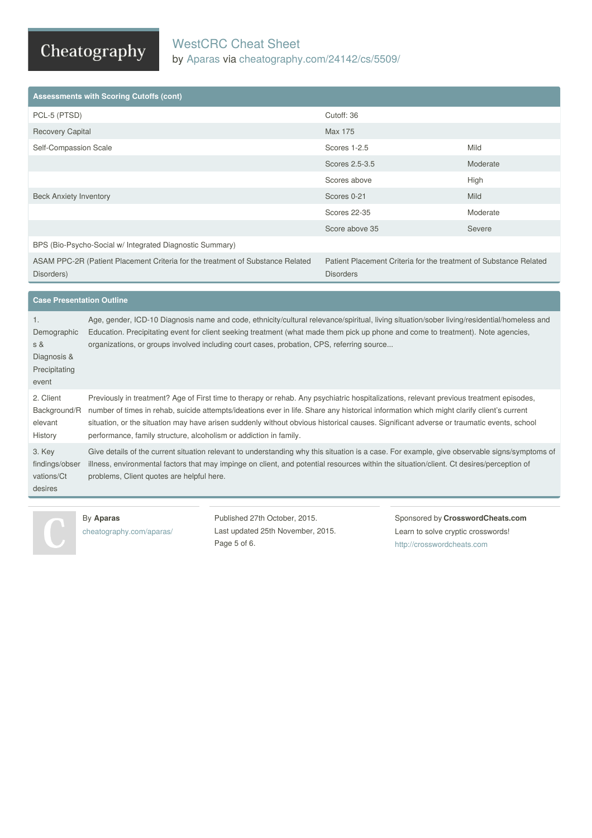## WestCRC Cheat Sheet by [Aparas](http://www.cheatography.com/aparas/) via [cheatography.com/24142/cs/5509/](http://www.cheatography.com/aparas/cheat-sheets/westcrc)

# Cheatography

| <b>Assessments with Scoring Cutoffs (cont)</b>                                                                                                                                        |                     |          |
|---------------------------------------------------------------------------------------------------------------------------------------------------------------------------------------|---------------------|----------|
| PCL-5 (PTSD)                                                                                                                                                                          | Cutoff: 36          |          |
| <b>Recovery Capital</b>                                                                                                                                                               | Max 175             |          |
| Self-Compassion Scale                                                                                                                                                                 | Scores 1-2.5        | Mild     |
|                                                                                                                                                                                       | Scores 2.5-3.5      | Moderate |
|                                                                                                                                                                                       | Scores above        | High     |
| <b>Beck Anxiety Inventory</b>                                                                                                                                                         | Scores 0-21         | Mild     |
|                                                                                                                                                                                       | <b>Scores 22-35</b> | Moderate |
|                                                                                                                                                                                       | Score above 35      | Severe   |
| BPS (Bio-Psycho-Social w/ Integrated Diagnostic Summary)                                                                                                                              |                     |          |
| ASAM PPC-2R (Patient Placement Criteria for the treatment of Substance Related<br>Patient Placement Criteria for the treatment of Substance Related<br>Disorders)<br><b>Disorders</b> |                     |          |
|                                                                                                                                                                                       |                     |          |

| <b>Case Presentation Outline</b>                                  |                                                                                                                                                                                                                                                                                                                                                                                                                                                                                                     |  |
|-------------------------------------------------------------------|-----------------------------------------------------------------------------------------------------------------------------------------------------------------------------------------------------------------------------------------------------------------------------------------------------------------------------------------------------------------------------------------------------------------------------------------------------------------------------------------------------|--|
| 1.<br>Demographic<br>s &<br>Diagnosis &<br>Precipitating<br>event | Age, gender, ICD-10 Diagnosis name and code, ethnicity/cultural relevance/spiritual, living situation/sober living/residential/homeless and<br>Education. Precipitating event for client seeking treatment (what made them pick up phone and come to treatment). Note agencies,<br>organizations, or groups involved including court cases, probation, CPS, referring source                                                                                                                        |  |
| 2. Client<br>Background/R<br>elevant<br>History                   | Previously in treatment? Age of First time to therapy or rehab. Any psychiatric hospitalizations, relevant previous treatment episodes,<br>number of times in rehab, suicide attempts/ideations ever in life. Share any historical information which might clarify client's current<br>situation, or the situation may have arisen suddenly without obvious historical causes. Significant adverse or traumatic events, school<br>performance, family structure, alcoholism or addiction in family. |  |
| 3. Key<br>findings/obser<br>vations/Ct<br>desires                 | Give details of the current situation relevant to understanding why this situation is a case. For example, give observable signs/symptoms of<br>illness, environmental factors that may impinge on client, and potential resources within the situation/client. Ct desires/perception of<br>problems, Client quotes are helpful here.                                                                                                                                                               |  |



### By **Aparas**

[cheatography.com/aparas/](http://www.cheatography.com/aparas/)

Published 27th October, 2015. Last updated 25th November, 2015. Page 5 of 6.